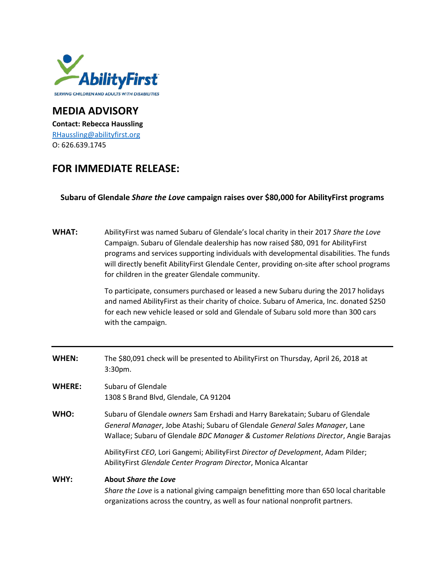

## **MEDIA ADVISORY Contact: Rebecca Haussling** [RHaussling@abilityfirst.org](mailto:RHaussling@abilityfirst.org) O: 626.639.1745

## **FOR IMMEDIATE RELEASE:**

## **Subaru of Glendale** *Share the Love* **campaign raises over \$80,000 for AbilityFirst programs**

| <b>WHAT:</b>  | AbilityFirst was named Subaru of Glendale's local charity in their 2017 Share the Love<br>Campaign. Subaru of Glendale dealership has now raised \$80, 091 for AbilityFirst<br>programs and services supporting individuals with developmental disabilities. The funds<br>will directly benefit AbilityFirst Glendale Center, providing on-site after school programs<br>for children in the greater Glendale community. |
|---------------|--------------------------------------------------------------------------------------------------------------------------------------------------------------------------------------------------------------------------------------------------------------------------------------------------------------------------------------------------------------------------------------------------------------------------|
|               | To participate, consumers purchased or leased a new Subaru during the 2017 holidays<br>and named AbilityFirst as their charity of choice. Subaru of America, Inc. donated \$250<br>for each new vehicle leased or sold and Glendale of Subaru sold more than 300 cars<br>with the campaign.                                                                                                                              |
| <b>WHEN:</b>  | The \$80,091 check will be presented to AbilityFirst on Thursday, April 26, 2018 at<br>3:30pm.                                                                                                                                                                                                                                                                                                                           |
| <b>WHERE:</b> | Subaru of Glendale<br>1308 S Brand Blvd, Glendale, CA 91204                                                                                                                                                                                                                                                                                                                                                              |
| WHO:          | Subaru of Glendale owners Sam Ershadi and Harry Barekatain; Subaru of Glendale<br>General Manager, Jobe Atashi; Subaru of Glendale General Sales Manager, Lane<br>Wallace; Subaru of Glendale BDC Manager & Customer Relations Director, Angie Barajas                                                                                                                                                                   |
|               | AbilityFirst CEO, Lori Gangemi; AbilityFirst Director of Development, Adam Pilder;<br>AbilityFirst Glendale Center Program Director, Monica Alcantar                                                                                                                                                                                                                                                                     |
| WHY:          | <b>About Share the Love</b><br>Share the Love is a national giving campaign benefitting more than 650 local charitable<br>organizations across the country, as well as four national nonprofit partners.                                                                                                                                                                                                                 |